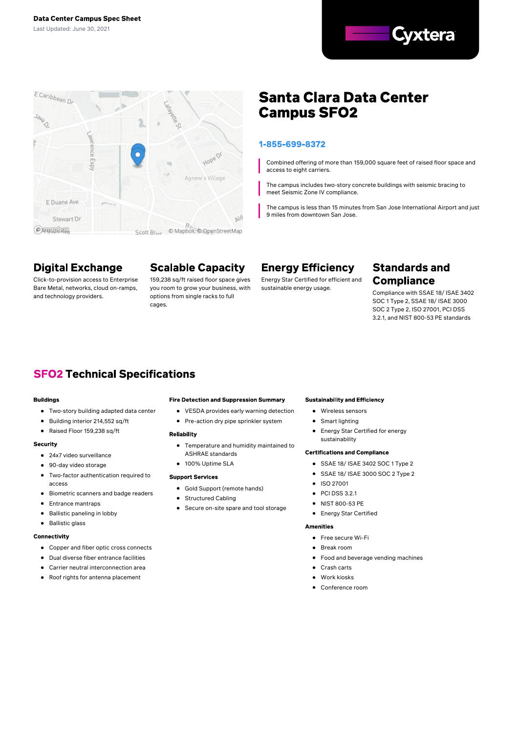



# **Santa Clara Data Center Campus SFO2**

### 1-855-699-8372

Combined offering of more than 159,000 square feet of raised floor space and access to eight carriers.

The campus includes two-story concrete buildings with seismic bracing to meet Seismic Zone IV compliance.

The campus is less than 15 minutes from San Jose International Airport and just 9 miles from downtown San Jose.

## **Digital Exchange**

Click-to-provision access to Enterprise Bare Metal, networks, cloud on-ramps, and technology providers.

# **Scalable Capacity**

159,238 sq/ft raised floor space gives you room to grow your business, with options from single racks to full cages.

## **Energy Efficiency**

Energy Star Certified for efficient and sustainable energy usage. Compliance with SSAE 18/ ISAE <sup>3402</sup>

### **Standards and Compliance**

SOC 1 Type 2, SSAE 18/ ISAE 3000 SOC 2 Type 2, ISO 27001, PCI DSS 3.2.1, and NIST 800-53 PE standards

## **SFO2 Technical Specifications**

#### **Buildings**

- Two-story building adapted data center
- $\bullet$ Building interior 214,552 sq/ft
- Raised Floor 159,238 sq/ft

#### Security

#### 24x7 video surveillance

- 90-day video storage
- $\bullet$ Two-factor authentication required to access
- Biometric scanners and badge readers
- $\bullet$ Entrance mantraps
- Ballistic paneling in lobby
- Ballistic glass

#### Connectivity

- Copper and fiber optic cross connects
- Dual diverse fiber entrance facilities
- Carrier neutral interconnection area
- Roof rights for antenna placement  $\bullet$

#### **Fire Detection and Suppression Summary**

- VESDA provides early warning detection
- Pre-action dry pipe sprinkler system

#### Reliability

- Temperature and humidity maintained to ASHRAE standards
- 100% Uptime SLA

#### **Support Services**

- Gold Support (remote hands)
- Structured Cabling
- Secure on-site spare and tool storage

#### **Sustainability and Efficiency**

- Wireless sensors
- Smart lighting
- $\bullet$ Energy Star Certified for energy sustainability

#### **Certifications and Compliance**

- SSAE 18/ ISAE 3402 SOC 1 Type 2
- SSAE 18/ ISAE 3000 SOC 2 Type 2  $\bullet$
- ISO 27001
- PCI DSS 3.2.1
- NIST 800-53 PE
- **•** Energy Star Certified

#### **Amenities**

- **•** Free secure Wi-Fi
- Break room
- Food and beverage vending machines
- $\bullet$ Crash carts
- **A** Work kineke
- Conference room